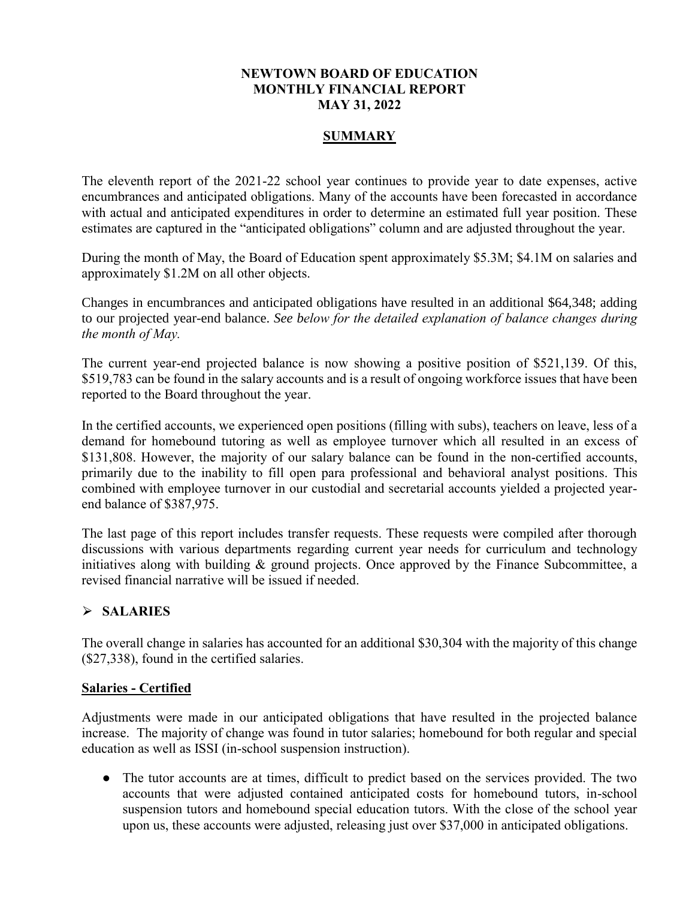#### **NEWTOWN BOARD OF EDUCATION MONTHLY FINANCIAL REPORT MAY 31, 2022**

## **SUMMARY**

The eleventh report of the 2021-22 school year continues to provide year to date expenses, active encumbrances and anticipated obligations. Many of the accounts have been forecasted in accordance with actual and anticipated expenditures in order to determine an estimated full year position. These estimates are captured in the "anticipated obligations" column and are adjusted throughout the year.

During the month of May, the Board of Education spent approximately \$5.3M; \$4.1M on salaries and approximately \$1.2M on all other objects.

Changes in encumbrances and anticipated obligations have resulted in an additional \$64,348; adding to our projected year-end balance. *See below for the detailed explanation of balance changes during the month of May.*

The current year-end projected balance is now showing a positive position of \$521,139. Of this, \$519,783 can be found in the salary accounts and is a result of ongoing workforce issues that have been reported to the Board throughout the year.

In the certified accounts, we experienced open positions (filling with subs), teachers on leave, less of a demand for homebound tutoring as well as employee turnover which all resulted in an excess of \$131,808. However, the majority of our salary balance can be found in the non-certified accounts, primarily due to the inability to fill open para professional and behavioral analyst positions. This combined with employee turnover in our custodial and secretarial accounts yielded a projected yearend balance of \$387,975.

The last page of this report includes transfer requests. These requests were compiled after thorough discussions with various departments regarding current year needs for curriculum and technology initiatives along with building & ground projects. Once approved by the Finance Subcommittee, a revised financial narrative will be issued if needed.

## ⮚ **SALARIES**

The overall change in salaries has accounted for an additional \$30,304 with the majority of this change (\$27,338), found in the certified salaries.

#### **Salaries - Certified**

Adjustments were made in our anticipated obligations that have resulted in the projected balance increase. The majority of change was found in tutor salaries; homebound for both regular and special education as well as ISSI (in-school suspension instruction).

• The tutor accounts are at times, difficult to predict based on the services provided. The two accounts that were adjusted contained anticipated costs for homebound tutors, in-school suspension tutors and homebound special education tutors. With the close of the school year upon us, these accounts were adjusted, releasing just over \$37,000 in anticipated obligations.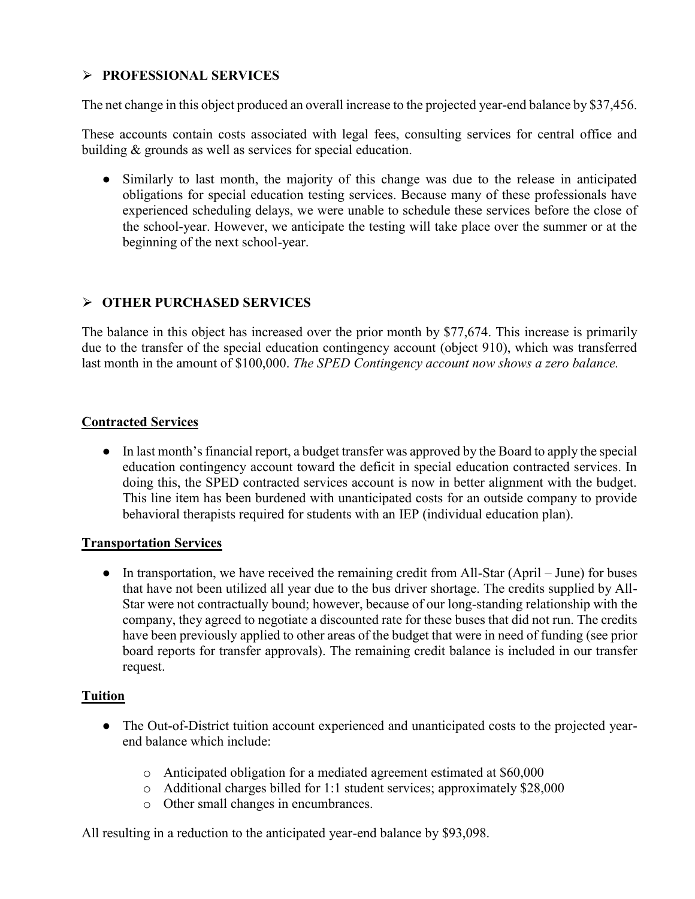# ⮚ **PROFESSIONAL SERVICES**

The net change in this object produced an overall increase to the projected year-end balance by \$37,456.

These accounts contain costs associated with legal fees, consulting services for central office and building & grounds as well as services for special education.

● Similarly to last month, the majority of this change was due to the release in anticipated obligations for special education testing services. Because many of these professionals have experienced scheduling delays, we were unable to schedule these services before the close of the school-year. However, we anticipate the testing will take place over the summer or at the beginning of the next school-year.

## ⮚ **OTHER PURCHASED SERVICES**

The balance in this object has increased over the prior month by \$77,674. This increase is primarily due to the transfer of the special education contingency account (object 910), which was transferred last month in the amount of \$100,000. *The SPED Contingency account now shows a zero balance.*

#### **Contracted Services**

● In last month's financial report, a budget transfer was approved by the Board to apply the special education contingency account toward the deficit in special education contracted services. In doing this, the SPED contracted services account is now in better alignment with the budget. This line item has been burdened with unanticipated costs for an outside company to provide behavioral therapists required for students with an IEP (individual education plan).

#### **Transportation Services**

• In transportation, we have received the remaining credit from All-Star (April – June) for buses that have not been utilized all year due to the bus driver shortage. The credits supplied by All-Star were not contractually bound; however, because of our long-standing relationship with the company, they agreed to negotiate a discounted rate for these buses that did not run. The credits have been previously applied to other areas of the budget that were in need of funding (see prior board reports for transfer approvals). The remaining credit balance is included in our transfer request.

#### **Tuition**

- The Out-of-District tuition account experienced and unanticipated costs to the projected yearend balance which include:
	- o Anticipated obligation for a mediated agreement estimated at \$60,000
	- o Additional charges billed for 1:1 student services; approximately \$28,000
	- o Other small changes in encumbrances.

All resulting in a reduction to the anticipated year-end balance by \$93,098.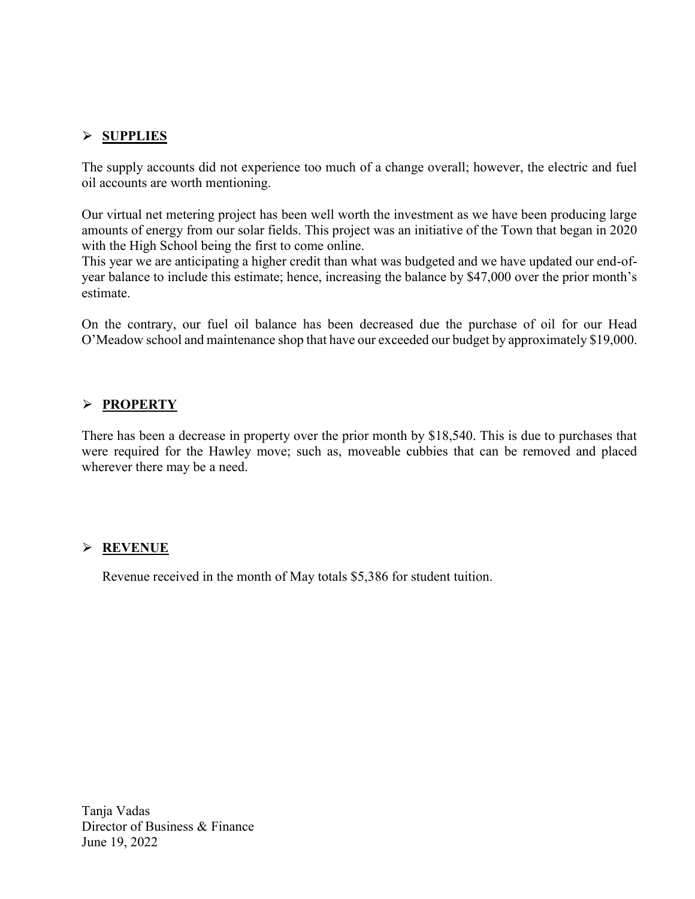## ⮚ **SUPPLIES**

The supply accounts did not experience too much of a change overall; however, the electric and fuel oil accounts are worth mentioning.

Our virtual net metering project has been well worth the investment as we have been producing large amounts of energy from our solar fields. This project was an initiative of the Town that began in 2020 with the High School being the first to come online.

This year we are anticipating a higher credit than what was budgeted and we have updated our end-ofyear balance to include this estimate; hence, increasing the balance by \$47,000 over the prior month's estimate.

On the contrary, our fuel oil balance has been decreased due the purchase of oil for our Head O'Meadow school and maintenance shop that have our exceeded our budget by approximately \$19,000.

## ⮚ **PROPERTY**

There has been a decrease in property over the prior month by \$18,540. This is due to purchases that were required for the Hawley move; such as, moveable cubbies that can be removed and placed wherever there may be a need.

#### ⮚ **REVENUE**

Revenue received in the month of May totals \$5,386 for student tuition.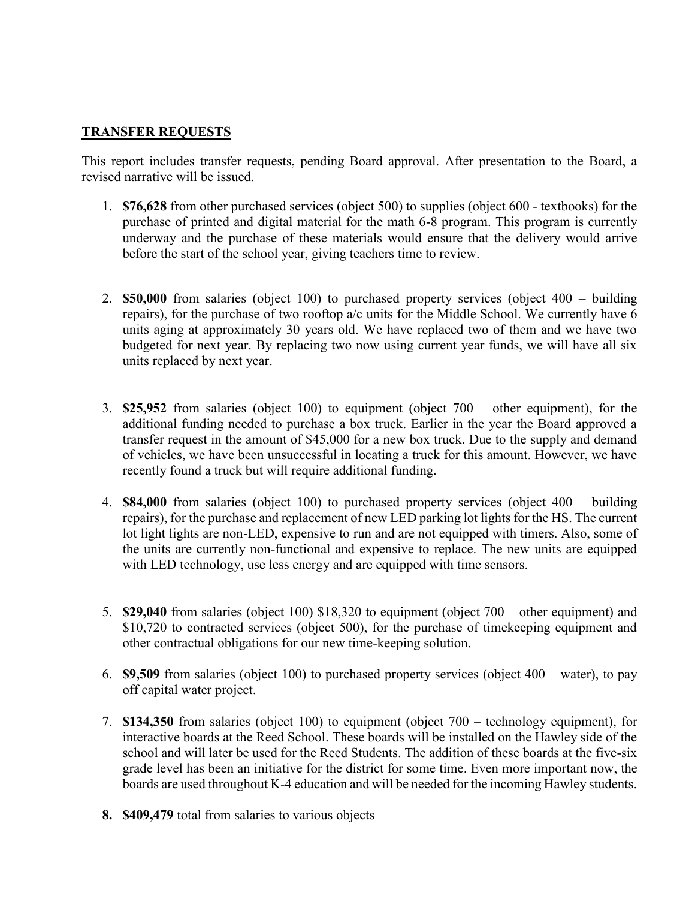## **TRANSFER REQUESTS**

This report includes transfer requests, pending Board approval. After presentation to the Board, a revised narrative will be issued.

- 1. **\$76,628** from other purchased services (object 500) to supplies (object 600 textbooks) for the purchase of printed and digital material for the math 6-8 program. This program is currently underway and the purchase of these materials would ensure that the delivery would arrive before the start of the school year, giving teachers time to review.
- 2. **\$50,000** from salaries (object 100) to purchased property services (object 400 building repairs), for the purchase of two rooftop a/c units for the Middle School. We currently have 6 units aging at approximately 30 years old. We have replaced two of them and we have two budgeted for next year. By replacing two now using current year funds, we will have all six units replaced by next year.
- 3. **\$25,952** from salaries (object 100) to equipment (object 700 other equipment), for the additional funding needed to purchase a box truck. Earlier in the year the Board approved a transfer request in the amount of \$45,000 for a new box truck. Due to the supply and demand of vehicles, we have been unsuccessful in locating a truck for this amount. However, we have recently found a truck but will require additional funding.
- 4. **\$84,000** from salaries (object 100) to purchased property services (object 400 building repairs), for the purchase and replacement of new LED parking lot lights for the HS. The current lot light lights are non-LED, expensive to run and are not equipped with timers. Also, some of the units are currently non-functional and expensive to replace. The new units are equipped with LED technology, use less energy and are equipped with time sensors.
- 5. **\$29,040** from salaries (object 100) \$18,320 to equipment (object 700 other equipment) and \$10,720 to contracted services (object 500), for the purchase of timekeeping equipment and other contractual obligations for our new time-keeping solution.
- 6. **\$9,509** from salaries (object 100) to purchased property services (object 400 water), to pay off capital water project.
- 7. **\$134,350** from salaries (object 100) to equipment (object 700 technology equipment), for interactive boards at the Reed School. These boards will be installed on the Hawley side of the school and will later be used for the Reed Students. The addition of these boards at the five-six grade level has been an initiative for the district for some time. Even more important now, the boards are used throughout K-4 education and will be needed for the incoming Hawley students.
- **8. \$409,479** total from salaries to various objects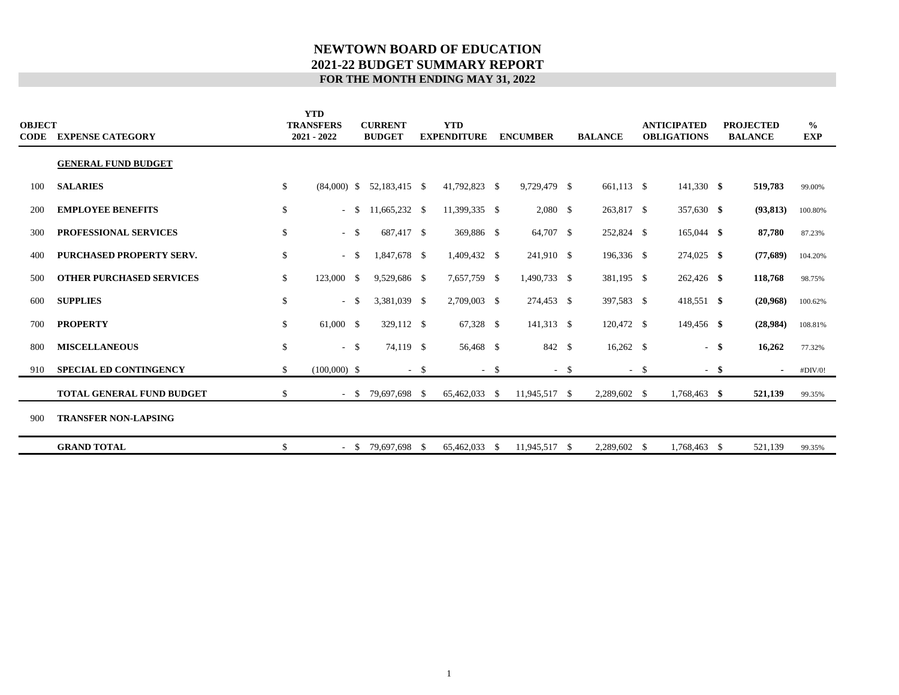#### **NEWTOWN BOARD OF EDUCATION 2021-22 BUDGET SUMMARY REPORT FOR THE MONTH ENDING MAY 31, 2022**

| <b>OBJECT</b><br>CODE | <b>EXPENSE CATEGORY</b>          |              | <b>YTD</b><br><b>TRANSFERS</b><br>2021 - 2022 | <b>CURRENT</b><br><b>BUDGET</b> |        | <b>YTD</b><br><b>EXPENDITURE</b> |        | <b>ENCUMBER</b> | <b>BALANCE</b> |        | <b>ANTICIPATED</b><br><b>OBLIGATIONS</b> |        | <b>PROJECTED</b><br><b>BALANCE</b> | $\frac{0}{0}$<br>EXP |  |
|-----------------------|----------------------------------|--------------|-----------------------------------------------|---------------------------------|--------|----------------------------------|--------|-----------------|----------------|--------|------------------------------------------|--------|------------------------------------|----------------------|--|
|                       | <b>GENERAL FUND BUDGET</b>       |              |                                               |                                 |        |                                  |        |                 |                |        |                                          |        |                                    |                      |  |
| 100                   | <b>SALARIES</b>                  | \$           | $(84,000)$ \$                                 | 52,183,415 \$                   |        | 41,792,823 \$                    |        | 9,729,479 \$    | 661,113 \$     |        | 141,330 \$                               |        | 519,783                            | 99.00%               |  |
| 200                   | <b>EMPLOYEE BENEFITS</b>         | \$           | $-$ \$                                        | 11,665,232 \$                   |        | 11,399,335 \$                    |        | $2,080$ \$      | 263,817 \$     |        | 357,630 \$                               |        | (93, 813)                          | 100.80%              |  |
| 300                   | PROFESSIONAL SERVICES            | $\mathbb{S}$ | $-$ \$                                        | 687,417 \$                      |        | 369,886 \$                       |        | 64,707 \$       | 252,824 \$     |        | 165,044 \$                               |        | 87,780                             | 87.23%               |  |
| 400                   | <b>PURCHASED PROPERTY SERV.</b>  | \$           | $-$ \$                                        | 1,847,678 \$                    |        | 1,409,432 \$                     |        | 241,910 \$      | 196,336 \$     |        | $274,025$ \$                             |        | (77,689)                           | 104.20%              |  |
| 500                   | <b>OTHER PURCHASED SERVICES</b>  | \$           | 123,000 \$                                    | 9,529,686 \$                    |        | 7,657,759 \$                     |        | 1,490,733 \$    | 381,195 \$     |        | $262,426$ \$                             |        | 118,768                            | 98.75%               |  |
| 600                   | <b>SUPPLIES</b>                  | \$           | $-$ \$                                        | 3,381,039 \$                    |        | 2,709,003 \$                     |        | 274,453 \$      | 397,583 \$     |        | 418,551 \$                               |        | (20,968)                           | 100.62%              |  |
| 700                   | <b>PROPERTY</b>                  | \$           | 61,000 \$                                     | 329,112 \$                      |        | 67,328 \$                        |        | 141,313 \$      | 120,472 \$     |        | 149,456 \$                               |        | (28,984)                           | 108.81%              |  |
| 800                   | <b>MISCELLANEOUS</b>             | \$           | $-$ \$                                        | 74,119 \$                       |        | 56,468 \$                        |        | 842 \$          | $16,262$ \$    |        |                                          | $-$ \$ | 16,262                             | 77.32%               |  |
| 910                   | <b>SPECIAL ED CONTINGENCY</b>    | \$           | $(100,000)$ \$                                |                                 | $-$ \$ |                                  | $-$ \$ | $-$ \$          |                | $-$ \$ | $-$ \$                                   |        | $\blacksquare$                     | #DIV/0!              |  |
|                       | <b>TOTAL GENERAL FUND BUDGET</b> | \$           |                                               | $-$ \$ 79,697,698 \$            |        | 65,462,033 \$                    |        | 11,945,517 \$   | 2,289,602 \$   |        | 1,768,463 \$                             |        | 521,139                            | 99.35%               |  |
| 900                   | <b>TRANSFER NON-LAPSING</b>      |              |                                               |                                 |        |                                  |        |                 |                |        |                                          |        |                                    |                      |  |
|                       | <b>GRAND TOTAL</b>               | \$           | $-$ \$                                        | 79,697,698 \$                   |        | 65,462,033 \$                    |        | 11,945,517 \$   | 2,289,602 \$   |        | 1,768,463 \$                             |        | 521,139                            | 99.35%               |  |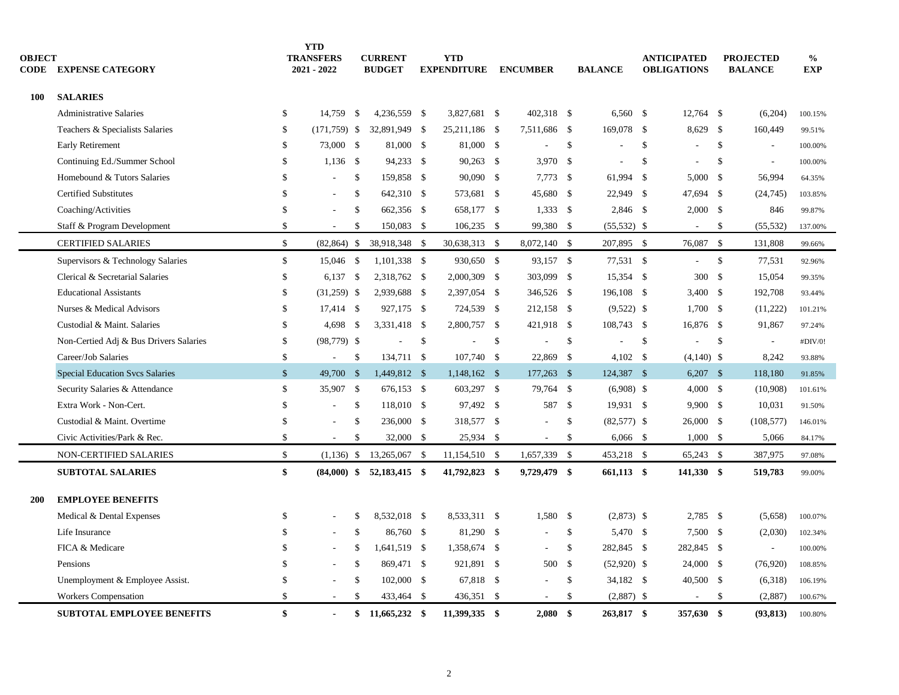| <b>OBJECT</b><br><b>CODE</b> | <b>EXPENSE CATEGORY</b>                |                    | <b>YTD</b><br><b>TRANSFERS</b><br>2021 - 2022 |               | <b>CURRENT</b><br><b>BUDGET</b> |      | <b>YTD</b><br><b>EXPENDITURE</b> |              | <b>ENCUMBER</b> |              | <b>BALANCE</b> |               | <b>ANTICIPATED</b><br><b>OBLIGATIONS</b> |               | <b>PROJECTED</b><br><b>BALANCE</b> | $\frac{0}{0}$<br><b>EXP</b> |
|------------------------------|----------------------------------------|--------------------|-----------------------------------------------|---------------|---------------------------------|------|----------------------------------|--------------|-----------------|--------------|----------------|---------------|------------------------------------------|---------------|------------------------------------|-----------------------------|
| <b>100</b>                   | <b>SALARIES</b>                        |                    |                                               |               |                                 |      |                                  |              |                 |              |                |               |                                          |               |                                    |                             |
|                              | <b>Administrative Salaries</b>         | \$                 | 14.759                                        | <sup>\$</sup> | 4,236,559 \$                    |      | 3.827.681 \$                     |              | 402.318 \$      |              | $6,560$ \$     |               | 12,764 \$                                |               | (6,204)                            | 100.15%                     |
|                              | Teachers & Specialists Salaries        | \$                 | $(171, 759)$ \$                               |               | 32,891,949 \$                   |      | 25,211,186 \$                    |              | 7,511,686 \$    |              | 169,078 \$     |               | 8,629                                    | - \$          | 160,449                            | 99.51%                      |
|                              | <b>Early Retirement</b>                | \$                 | 73,000 \$                                     |               | 81,000 \$                       |      | 81,000 \$                        |              |                 | $\mathbb{S}$ |                | <sup>\$</sup> |                                          | $\mathcal{S}$ | $\overline{\phantom{a}}$           | 100.00%                     |
|                              | Continuing Ed./Summer School           | \$                 | $1,136$ \$                                    |               | 94,233 \$                       |      | 90,263 \$                        |              | $3,970$ \$      |              |                | \$            |                                          | \$            | $\overline{\phantom{a}}$           | 100.00%                     |
|                              | Homebound & Tutors Salaries            | \$                 |                                               | \$            | 159,858 \$                      |      | 90,090 \$                        |              | $7,773$ \$      |              | 61,994         | - \$          | $5,000$ \$                               |               | 56,994                             | 64.35%                      |
|                              | <b>Certified Substitutes</b>           | \$                 |                                               | \$            | 642,310 \$                      |      | 573,681 \$                       |              | 45,680 \$       |              | 22,949 \$      |               | 47,694 \$                                |               | (24, 745)                          | 103.85%                     |
|                              | Coaching/Activities                    | $\mathcal{S}$      |                                               | \$            | 662,356 \$                      |      | 658,177 \$                       |              | $1,333$ \$      |              | 2,846 \$       |               | $2,000$ \$                               |               | 846                                | 99.87%                      |
|                              | Staff & Program Development            | \$                 |                                               | \$            | 150,083 \$                      |      | $106,235$ \$                     |              | 99,380 \$       |              | $(55,532)$ \$  |               | $\overline{a}$                           | \$            | (55, 532)                          | 137.00%                     |
|                              | <b>CERTIFIED SALARIES</b>              | $\mathcal{S}$      | (82, 864)                                     | \$            | 38,918,348                      | - \$ | 30,638,313 \$                    |              | 8,072,140 \$    |              | 207,895 \$     |               | 76,087                                   | $\mathcal{S}$ | 131,808                            | 99.66%                      |
|                              | Supervisors & Technology Salaries      | \$                 | 15,046 \$                                     |               | 1,101,338 \$                    |      | 930,650 \$                       |              | 93,157 \$       |              | 77,531 \$      |               |                                          | $\$$          | 77,531                             | 92.96%                      |
|                              | Clerical & Secretarial Salaries        | \$                 | $6,137$ \$                                    |               | 2,318,762 \$                    |      | 2,000,309 \$                     |              | 303,099 \$      |              | 15,354 \$      |               | 300                                      | - \$          | 15,054                             | 99.35%                      |
|                              | <b>Educational Assistants</b>          | \$                 | $(31,259)$ \$                                 |               | 2,939,688 \$                    |      | 2,397,054 \$                     |              | 346,526 \$      |              | 196,108 \$     |               | 3,400 \$                                 |               | 192,708                            | 93.44%                      |
|                              | Nurses & Medical Advisors              | \$                 | 17,414 \$                                     |               | 927,175 \$                      |      | 724,539 \$                       |              | 212,158 \$      |              | $(9,522)$ \$   |               | $1,700$ \$                               |               | (11,222)                           | 101.21%                     |
|                              | Custodial & Maint. Salaries            | \$                 | 4,698 \$                                      |               | 3,331,418 \$                    |      | 2,800,757 \$                     |              | 421,918 \$      |              | 108,743 \$     |               | 16,876 \$                                |               | 91,867                             | 97.24%                      |
|                              | Non-Certied Adj & Bus Drivers Salaries | \$                 | $(98, 779)$ \$                                |               | ÷,                              | \$   |                                  | $\mathbb{S}$ |                 | \$           |                | \$            |                                          | \$            | $\mathcal{L}_{\mathcal{A}}$        | #DIV/0!                     |
|                              | Career/Job Salaries                    | \$                 | $\sim$                                        | $\mathbb{S}$  | 134,711 \$                      |      | 107,740 \$                       |              | 22,869          | \$           | 4.102S         |               | $(4,140)$ \$                             |               | 8.242                              | 93.88%                      |
|                              | <b>Special Education Svcs Salaries</b> | $\mathbb{S}$       | 49,700                                        | $\sqrt{3}$    | 1,449,812 \$                    |      | 1,148,162 \$                     |              | $177,263$ \$    |              | 124,387 \$     |               | $6,207$ \$                               |               | 118,180                            | 91.85%                      |
|                              | Security Salaries & Attendance         | $\mathbf{\hat{S}}$ | 35,907 \$                                     |               | 676,153 \$                      |      | 603,297 \$                       |              | 79,764 \$       |              | $(6,908)$ \$   |               | $4,000$ \$                               |               | (10,908)                           | 101.61%                     |
|                              | Extra Work - Non-Cert.                 | \$                 | $\sim$                                        | \$            | 118,010 \$                      |      | 97,492 \$                        |              | 587 \$          |              | 19,931 \$      |               | $9,900$ \$                               |               | 10,031                             | 91.50%                      |
|                              | Custodial & Maint. Overtime            | \$                 |                                               | \$            | 236,000 \$                      |      | 318,577 \$                       |              | $\sim$          | \$           | $(82,577)$ \$  |               | 26,000 \$                                |               | (108, 577)                         | 146.01%                     |
|                              | Civic Activities/Park & Rec.           | \$                 |                                               | \$            | 32,000 \$                       |      | 25,934 \$                        |              | ÷.              | \$           | $6,066$ \$     |               | $1,000$ \$                               |               | 5,066                              | 84.17%                      |
|                              | <b>NON-CERTIFIED SALARIES</b>          | \$                 | $(1,136)$ \$                                  |               | 13,265,067 \$                   |      | 11,154,510 \$                    |              | 1,657,339 \$    |              | 453,218 \$     |               | 65,243 \$                                |               | 387,975                            | 97.08%                      |
|                              | <b>SUBTOTAL SALARIES</b>               | \$                 |                                               |               | $(84,000)$ \$ 52,183,415 \$     |      | 41,792,823 \$                    |              | 9,729,479 \$    |              | 661,113 \$     |               | 141,330 \$                               |               | 519,783                            | 99.00%                      |
| 200                          | <b>EMPLOYEE BENEFITS</b>               |                    |                                               |               |                                 |      |                                  |              |                 |              |                |               |                                          |               |                                    |                             |
|                              | Medical & Dental Expenses              | \$                 |                                               | \$            | 8,532,018 \$                    |      | 8,533,311 \$                     |              | 1,580           | <b>S</b>     | $(2,873)$ \$   |               | 2,785 \$                                 |               | (5,658)                            | 100.07%                     |
|                              | Life Insurance                         | S                  |                                               | \$            | 86,760 \$                       |      | 81,290 \$                        |              |                 | $\mathbb{S}$ | 5,470 \$       |               | 7,500 \$                                 |               | (2,030)                            | 102.34%                     |
|                              | FICA & Medicare                        | \$                 |                                               | \$            | 1,641,519 \$                    |      | 1,358,674 \$                     |              | $\sim$          | \$           | 282,845 \$     |               | 282,845 \$                               |               | $\sim$                             | 100.00%                     |
|                              | Pensions                               | \$                 |                                               | $\mathcal{S}$ | 869,471 \$                      |      | 921,891 \$                       |              | 500             | - \$         | $(52,920)$ \$  |               | 24,000 \$                                |               | (76,920)                           | 108.85%                     |
|                              | Unemployment & Employee Assist.        | \$                 |                                               | \$            | $102,000$ \$                    |      | 67,818 \$                        |              |                 | \$           | 34,182 \$      |               | 40,500 \$                                |               | (6,318)                            | 106.19%                     |
|                              | Workers Compensation                   | \$                 |                                               | \$            | 433,464 \$                      |      | 436,351 \$                       |              | $\sim$          | $\mathbb{S}$ | $(2,887)$ \$   |               | ÷                                        | $\mathbf{\$}$ | (2,887)                            | 100.67%                     |
|                              | <b>SUBTOTAL EMPLOYEE BENEFITS</b>      | \$                 |                                               |               | $$11,665,232$ \$                |      | 11,399,335 \$                    |              | $2,080$ \$      |              | 263,817 \$     |               | 357,630 \$                               |               | (93, 813)                          | 100.80%                     |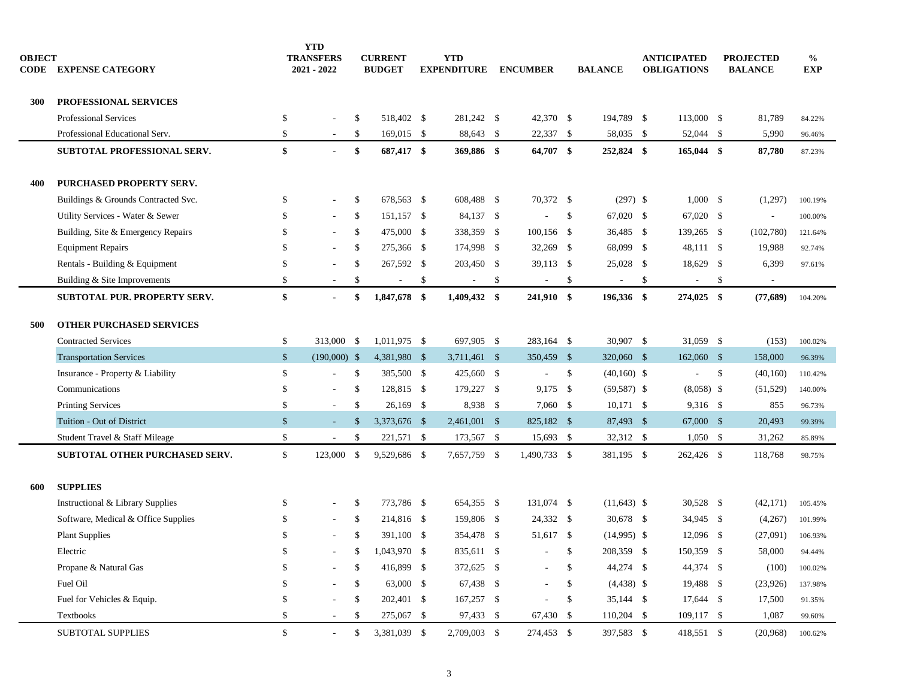| <b>OBJECT</b><br>CODE | <b>EXPENSE CATEGORY</b>                     |               | <b>YTD</b><br><b>TRANSFERS</b><br>2021 - 2022 | <b>CURRENT</b><br><b>BUDGET</b> | <b>YTD</b><br><b>EXPENDITURE</b> | <b>ENCUMBER</b>          |     | <b>BALANCE</b> | <b>ANTICIPATED</b><br><b>OBLIGATIONS</b> | <b>PROJECTED</b><br><b>BALANCE</b> | $\%$<br><b>EXP</b> |  |
|-----------------------|---------------------------------------------|---------------|-----------------------------------------------|---------------------------------|----------------------------------|--------------------------|-----|----------------|------------------------------------------|------------------------------------|--------------------|--|
| 300                   | PROFESSIONAL SERVICES                       |               |                                               |                                 |                                  |                          |     |                |                                          |                                    |                    |  |
|                       | <b>Professional Services</b>                | \$            |                                               | \$<br>518,402 \$                | 281,242 \$                       | 42,370 \$                |     | 194,789 \$     | 113,000 \$                               | 81,789                             | 84.22%             |  |
|                       | Professional Educational Serv.              | \$            | $\sim$                                        | \$<br>$169,015$ \$              | 88,643 \$                        | 22,337 \$                |     | 58,035 \$      | 52,044 \$                                | 5,990                              | 96.46%             |  |
|                       | SUBTOTAL PROFESSIONAL SERV.                 | \$            | $\sim$                                        | \$<br>687,417 \$                | 369,886 \$                       | 64,707 \$                |     | 252,824 \$     | $165,044$ \$                             | 87,780                             | 87.23%             |  |
| 400                   | PURCHASED PROPERTY SERV.                    |               |                                               |                                 |                                  |                          |     |                |                                          |                                    |                    |  |
|                       | Buildings & Grounds Contracted Svc.         | \$            | $\sim$                                        | \$<br>678,563 \$                | 608,488 \$                       | 70,372 \$                |     | $(297)$ \$     | $1,000$ \$                               | (1,297)                            | 100.19%            |  |
|                       | Utility Services - Water & Sewer            | <sup>\$</sup> |                                               | \$<br>151,157 \$                | 84,137 \$                        |                          | -\$ | 67,020 \$      | 67,020 \$                                | $\blacksquare$                     | 100.00%            |  |
|                       | Building, Site & Emergency Repairs          | \$            |                                               | \$<br>475,000 \$                | 338,359 \$                       | $100,156$ \$             |     | 36,485 \$      | 139,265 \$                               | (102,780)                          | 121.64%            |  |
|                       | <b>Equipment Repairs</b>                    | $\mathbb{S}$  | $\sim$                                        | \$<br>275,366 \$                | 174,998 \$                       | 32,269 \$                |     | 68,099 \$      | 48,111 \$                                | 19,988                             | 92.74%             |  |
|                       | Rentals - Building & Equipment              | \$            |                                               | \$<br>267,592 \$                | 203,450 \$                       | 39,113 \$                |     | $25,028$ \$    | 18,629 \$                                | 6,399                              | 97.61%             |  |
|                       | Building & Site Improvements                | $\mathbb{S}$  |                                               | \$<br>$\overline{\phantom{a}}$  | \$<br>$\overline{\phantom{a}}$   | \$<br>$\sim$             | \$  |                | \$                                       | \$<br>$\overline{\phantom{a}}$     |                    |  |
|                       | SUBTOTAL PUR. PROPERTY SERV.                | \$            | $\blacksquare$                                | \$<br>1,847,678 \$              | 1,409,432 \$                     | 241,910 \$               |     | 196,336 \$     | 274,025 \$                               | (77,689)                           | 104.20%            |  |
| 500                   | <b>OTHER PURCHASED SERVICES</b>             |               |                                               |                                 |                                  |                          |     |                |                                          |                                    |                    |  |
|                       | <b>Contracted Services</b>                  | \$            | 313,000 \$                                    | 1,011,975 \$                    | 697,905 \$                       | 283,164 \$               |     | 30,907 \$      | 31,059 \$                                | (153)                              | 100.02%            |  |
|                       | <b>Transportation Services</b>              | $\frac{1}{2}$ | $(190,000)$ \$                                | 4,381,980 \$                    | $3,711,461$ \$                   | 350,459 \$               |     | 320,060 \$     | 162,060 \$                               | 158,000                            | 96.39%             |  |
|                       | Insurance - Property & Liability            | \$            | $\sim$                                        | \$<br>385,500 \$                | 425,660 \$                       | $\sim$                   | \$  | $(40,160)$ \$  | $\sim$                                   | \$<br>(40,160)                     | 110.42%            |  |
|                       | Communications                              | \$            | $\sim$                                        | \$<br>128,815 \$                | 179,227 \$                       | $9,175$ \$               |     | $(59, 587)$ \$ | $(8,058)$ \$                             | (51, 529)                          | 140.00%            |  |
|                       | <b>Printing Services</b>                    | $\mathbb{S}$  | ÷                                             | \$<br>$26,169$ \$               | 8,938 \$                         | 7,060 \$                 |     | $10,171$ \$    | 9,316 \$                                 | 855                                | 96.73%             |  |
|                       | Tuition - Out of District                   | $\frac{1}{2}$ | ÷.                                            | \$<br>3,373,676 \$              | 2,461,001 \$                     | 825,182 \$               |     | 87,493 \$      | 67,000 \$                                | 20,493                             | 99.39%             |  |
|                       | Student Travel & Staff Mileage              | \$            | $\sim$                                        | \$<br>221,571 \$                | 173,567 \$                       | 15,693 \$                |     | 32,312 \$      | $1,050$ \$                               | 31,262                             | 85.89%             |  |
|                       | <b>SUBTOTAL OTHER PURCHASED SERV.</b>       | $\mathbb{S}$  | 123,000 \$                                    | 9,529,686 \$                    | 7,657,759 \$                     | 1,490,733 \$             |     | 381,195 \$     | 262,426 \$                               | 118,768                            | 98.75%             |  |
| 600                   | <b>SUPPLIES</b>                             |               |                                               |                                 |                                  |                          |     |                |                                          |                                    |                    |  |
|                       | <b>Instructional &amp; Library Supplies</b> | \$            |                                               | \$<br>773,786 \$                | 654,355 \$                       | 131,074 \$               |     | $(11,643)$ \$  | 30,528 \$                                | (42, 171)                          | 105.45%            |  |
|                       | Software, Medical & Office Supplies         | \$            | $\sim$                                        | \$<br>214,816 \$                | 159,806 \$                       | 24,332 \$                |     | $30,678$ \$    | 34,945 \$                                | (4,267)                            | 101.99%            |  |
|                       | <b>Plant Supplies</b>                       | <sup>\$</sup> |                                               | \$<br>391,100 \$                | 354,478 \$                       | 51,617 \$                |     | $(14,995)$ \$  | 12,096 \$                                | (27,091)                           | 106.93%            |  |
|                       | Electric                                    | \$            |                                               | 1,043,970 \$                    | 835,611 \$                       | $\sim$ $\sim$            |     | 208,359 \$     | 150,359 \$                               | 58,000                             | 94.44%             |  |
|                       | Propane & Natural Gas                       | S             |                                               | \$<br>416,899 \$                | 372,625 \$                       |                          | \$  | 44,274 \$      | 44,374 \$                                | (100)                              | 100.02%            |  |
|                       | Fuel Oil                                    | .S            | $\overline{\phantom{m}}$                      | \$<br>63,000 \$                 | 67,438 \$                        |                          | \$  | $(4,438)$ \$   | 19,488 \$                                | (23,926)                           | 137.98%            |  |
|                       | Fuel for Vehicles & Equip.                  | S             |                                               | \$<br>202,401 \$                | 167,257 \$                       | $\overline{\phantom{a}}$ | \$  | 35,144 \$      | 17,644 \$                                | 17,500                             | 91.35%             |  |
|                       | Textbooks                                   | \$            | $\overline{\phantom{a}}$                      | \$<br>275,067 \$                | 97,433 \$                        | 67,430 \$                |     | 110,204 \$     | 109,117 \$                               | 1,087                              | 99.60%             |  |
|                       | <b>SUBTOTAL SUPPLIES</b>                    | \$            | $\sim$                                        | \$<br>3,381,039 \$              | 2,709,003 \$                     | 274,453 \$               |     | 397,583 \$     | 418,551 \$                               | (20,968)                           | 100.62%            |  |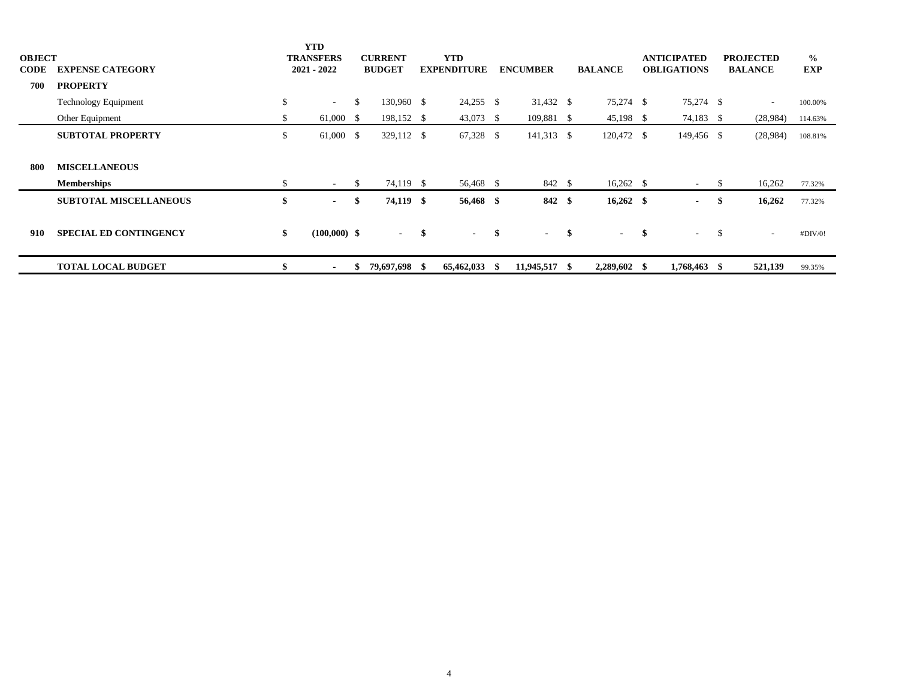| <b>OBJECT</b><br><b>CODE</b> | <b>EXPENSE CATEGORY</b><br><b>PROPERTY</b> |               | <b>YTD</b><br><b>TRANSFERS</b><br>$2021 - 2022$ |     | <b>CURRENT</b><br><b>BUDGET</b> | <b>YTD</b><br><b>EXPENDITURE</b> |               |  | <b>ENCUMBER</b> |             | <b>BALANCE</b>    | <b>ANTICIPATED</b><br><b>OBLIGATIONS</b> |      | <b>PROJECTED</b><br><b>BALANCE</b> | $\frac{6}{9}$<br>EXP |
|------------------------------|--------------------------------------------|---------------|-------------------------------------------------|-----|---------------------------------|----------------------------------|---------------|--|-----------------|-------------|-------------------|------------------------------------------|------|------------------------------------|----------------------|
| 700                          |                                            |               |                                                 |     |                                 |                                  |               |  |                 |             |                   |                                          |      |                                    |                      |
|                              | <b>Technology Equipment</b>                | \$            | $\sim 100$                                      | S.  | 130,960 \$                      |                                  | $24,255$ \$   |  | 31,432 \$       |             | 75,274 \$         | 75,274 \$                                |      | $\sim$                             | 100.00%              |
|                              | Other Equipment                            | - 75          | $61,000$ \$                                     |     | 198,152 \$                      |                                  | 43,073 \$     |  | 109,881 \$      |             | $45,198$ \$       | 74,183 \$                                |      | (28,984)                           | 114.63%              |
|                              | <b>SUBTOTAL PROPERTY</b>                   | <sup>\$</sup> | $61,000$ \$                                     |     | 329,112 \$                      |                                  | $67,328$ \$   |  | 141,313 \$      |             | 120,472 \$        | 149,456 \$                               |      | (28,984)                           | 108.81%              |
|                              |                                            |               |                                                 |     |                                 |                                  |               |  |                 |             |                   |                                          |      |                                    |                      |
| 800                          | <b>MISCELLANEOUS</b>                       |               |                                                 |     |                                 |                                  |               |  |                 |             |                   |                                          |      |                                    |                      |
|                              | <b>Memberships</b>                         |               | $\sim$ 10 $\pm$                                 | -S  | 74,119 \$                       |                                  | 56,468 \$     |  | 842 \$          |             | $16,262 \quad$ \$ | $\sim$ 10 $\pm$                          | -S   | 16,262                             | 77.32%               |
|                              | <b>SUBTOTAL MISCELLANEOUS</b>              | \$            | $\sim$ 100 $\mu$                                | -SS | 74,119 \$                       |                                  | 56,468 \$     |  | 842 \$          |             | $16,262$ \$       | $\sim$                                   | - \$ | 16,262                             | 77.32%               |
|                              |                                            |               |                                                 |     |                                 |                                  |               |  |                 |             |                   |                                          |      |                                    |                      |
| 910                          | <b>SPECIAL ED CONTINGENCY</b>              | \$            | $(100,000)$ \$                                  |     | $-$ \$                          |                                  | $-$ \$        |  | $\sim$          | $\mathbf s$ | $-$ \$            | $-$ \$                                   |      | $\sim$                             | #DIV/0!              |
|                              |                                            |               |                                                 |     |                                 |                                  |               |  |                 |             |                   |                                          |      |                                    |                      |
|                              | <b>TOTAL LOCAL BUDGET</b>                  |               | $\sim$                                          | ъ   | 79,697,698 \$                   |                                  | 65,462,033 \$ |  | 11,945,517 \$   |             | $2,289,602$ \$    | 1,768,463 \$                             |      | 521,139                            | 99.35%               |